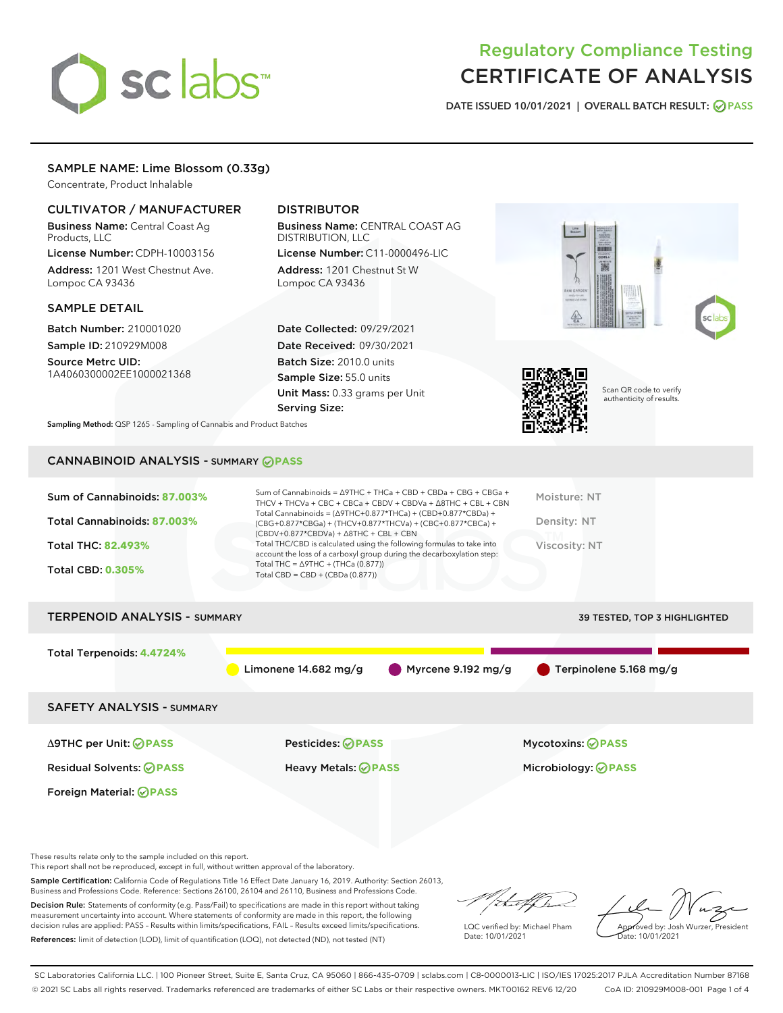# sclabs<sup>\*</sup>

# Regulatory Compliance Testing CERTIFICATE OF ANALYSIS

DATE ISSUED 10/01/2021 | OVERALL BATCH RESULT: @ PASS

# SAMPLE NAME: Lime Blossom (0.33g)

Concentrate, Product Inhalable

# CULTIVATOR / MANUFACTURER

Business Name: Central Coast Ag Products, LLC

License Number: CDPH-10003156 Address: 1201 West Chestnut Ave. Lompoc CA 93436

#### SAMPLE DETAIL

Batch Number: 210001020 Sample ID: 210929M008

Source Metrc UID: 1A4060300002EE1000021368

# DISTRIBUTOR

Business Name: CENTRAL COAST AG DISTRIBUTION, LLC License Number: C11-0000496-LIC

Address: 1201 Chestnut St W Lompoc CA 93436

Date Collected: 09/29/2021 Date Received: 09/30/2021 Batch Size: 2010.0 units Sample Size: 55.0 units Unit Mass: 0.33 grams per Unit Serving Size:





Scan QR code to verify authenticity of results.

Sampling Method: QSP 1265 - Sampling of Cannabis and Product Batches

# CANNABINOID ANALYSIS - SUMMARY **PASS**

| Sum of Cannabinoids: 87.003%<br>Total Cannabinoids: 87.003%<br><b>Total THC: 82.493%</b><br><b>Total CBD: 0.305%</b> | Sum of Cannabinoids = $\triangle$ 9THC + THCa + CBD + CBDa + CBG + CBGa +<br>Moisture: NT<br>THCV + THCVa + CBC + CBCa + CBDV + CBDVa + $\land$ 8THC + CBL + CBN<br>Total Cannabinoids = $(\Delta$ 9THC+0.877*THCa) + (CBD+0.877*CBDa) +<br>Density: NT<br>(CBG+0.877*CBGa) + (THCV+0.877*THCVa) + (CBC+0.877*CBCa) +<br>$(CBDV+0.877*CBDVa) + \Delta 8THC + CBL + CBN$<br>Total THC/CBD is calculated using the following formulas to take into<br>Viscosity: NT<br>account the loss of a carboxyl group during the decarboxylation step:<br>Total THC = $\triangle$ 9THC + (THCa (0.877))<br>Total CBD = $CBD + (CBDa (0.877))$ |                                                |  |  |  |
|----------------------------------------------------------------------------------------------------------------------|-----------------------------------------------------------------------------------------------------------------------------------------------------------------------------------------------------------------------------------------------------------------------------------------------------------------------------------------------------------------------------------------------------------------------------------------------------------------------------------------------------------------------------------------------------------------------------------------------------------------------------------|------------------------------------------------|--|--|--|
| <b>TERPENOID ANALYSIS - SUMMARY</b>                                                                                  |                                                                                                                                                                                                                                                                                                                                                                                                                                                                                                                                                                                                                                   | 39 TESTED, TOP 3 HIGHLIGHTED                   |  |  |  |
| Total Terpenoids: 4.4724%                                                                                            | Limonene $14.682$ mg/g                                                                                                                                                                                                                                                                                                                                                                                                                                                                                                                                                                                                            | Myrcene $9.192$ mg/g<br>Terpinolene 5.168 mg/g |  |  |  |
| <b>SAFETY ANALYSIS - SUMMARY</b>                                                                                     |                                                                                                                                                                                                                                                                                                                                                                                                                                                                                                                                                                                                                                   |                                                |  |  |  |
| ∆9THC per Unit: ⊘PASS                                                                                                | Pesticides: ⊘PASS                                                                                                                                                                                                                                                                                                                                                                                                                                                                                                                                                                                                                 | <b>Mycotoxins: ⊘PASS</b>                       |  |  |  |

Foreign Material: **PASS**

Residual Solvents: **PASS** Heavy Metals: **PASS** Microbiology: **PASS**

These results relate only to the sample included on this report.

This report shall not be reproduced, except in full, without written approval of the laboratory.

Sample Certification: California Code of Regulations Title 16 Effect Date January 16, 2019. Authority: Section 26013, Business and Professions Code. Reference: Sections 26100, 26104 and 26110, Business and Professions Code.

Decision Rule: Statements of conformity (e.g. Pass/Fail) to specifications are made in this report without taking measurement uncertainty into account. Where statements of conformity are made in this report, the following decision rules are applied: PASS – Results within limits/specifications, FAIL – Results exceed limits/specifications. References: limit of detection (LOD), limit of quantification (LOQ), not detected (ND), not tested (NT)

that f h

LQC verified by: Michael Pham Date: 10/01/2021

Approved by: Josh Wurzer, President Date: 10/01/2021

SC Laboratories California LLC. | 100 Pioneer Street, Suite E, Santa Cruz, CA 95060 | 866-435-0709 | sclabs.com | C8-0000013-LIC | ISO/IES 17025:2017 PJLA Accreditation Number 87168 © 2021 SC Labs all rights reserved. Trademarks referenced are trademarks of either SC Labs or their respective owners. MKT00162 REV6 12/20 CoA ID: 210929M008-001 Page 1 of 4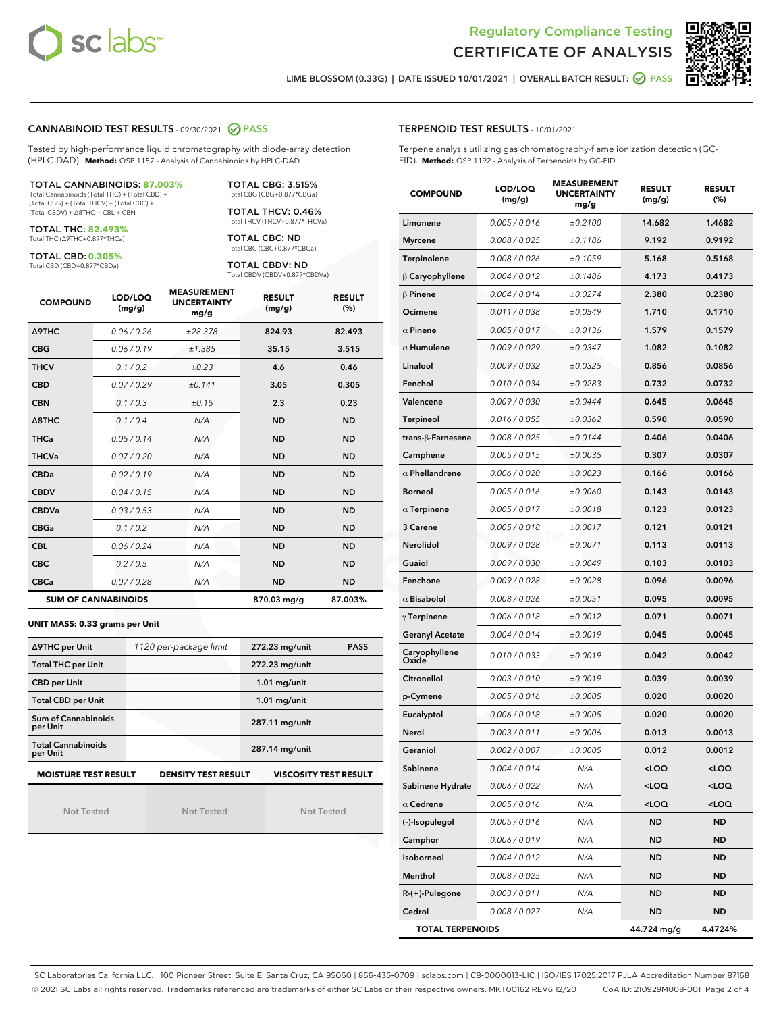



LIME BLOSSOM (0.33G) | DATE ISSUED 10/01/2021 | OVERALL BATCH RESULT: **○** PASS

#### CANNABINOID TEST RESULTS - 09/30/2021 2 PASS

Tested by high-performance liquid chromatography with diode-array detection (HPLC-DAD). **Method:** QSP 1157 - Analysis of Cannabinoids by HPLC-DAD

#### TOTAL CANNABINOIDS: **87.003%**

Total Cannabinoids (Total THC) + (Total CBD) + (Total CBG) + (Total THCV) + (Total CBC) + (Total CBDV) + ∆8THC + CBL + CBN

TOTAL THC: **82.493%** Total THC (∆9THC+0.877\*THCa)

TOTAL CBD: **0.305%**

Total CBD (CBD+0.877\*CBDa)

TOTAL CBG: 3.515% Total CBG (CBG+0.877\*CBGa)

TOTAL THCV: 0.46% Total THCV (THCV+0.877\*THCVa)

TOTAL CBC: ND Total CBC (CBC+0.877\*CBCa)

TOTAL CBDV: ND Total CBDV (CBDV+0.877\*CBDVa)

| <b>COMPOUND</b>  | LOD/LOQ<br>(mg/g)          | <b>MEASUREMENT</b><br><b>UNCERTAINTY</b><br>mg/g | <b>RESULT</b><br>(mg/g) | <b>RESULT</b><br>(%) |
|------------------|----------------------------|--------------------------------------------------|-------------------------|----------------------|
| <b>A9THC</b>     | 0.06 / 0.26                | ±28.378                                          | 824.93                  | 82.493               |
| <b>CBG</b>       | 0.06/0.19                  | ±1.385                                           | 35.15                   | 3.515                |
| <b>THCV</b>      | 0.1/0.2                    | $\pm 0.23$                                       | 4.6                     | 0.46                 |
| <b>CBD</b>       | 0.07/0.29                  | ±0.141                                           | 3.05                    | 0.305                |
| <b>CBN</b>       | 0.1 / 0.3                  | ±0.15                                            | 2.3                     | 0.23                 |
| $\triangle$ 8THC | 0.1/0.4                    | N/A                                              | <b>ND</b>               | <b>ND</b>            |
| <b>THCa</b>      | 0.05/0.14                  | N/A                                              | <b>ND</b>               | <b>ND</b>            |
| <b>THCVa</b>     | 0.07/0.20                  | N/A                                              | <b>ND</b>               | <b>ND</b>            |
| <b>CBDa</b>      | 0.02/0.19                  | N/A                                              | <b>ND</b>               | <b>ND</b>            |
| <b>CBDV</b>      | 0.04 / 0.15                | N/A                                              | <b>ND</b>               | <b>ND</b>            |
| <b>CBDVa</b>     | 0.03/0.53                  | N/A                                              | <b>ND</b>               | <b>ND</b>            |
| <b>CBGa</b>      | 0.1 / 0.2                  | N/A                                              | <b>ND</b>               | <b>ND</b>            |
| <b>CBL</b>       | 0.06 / 0.24                | N/A                                              | <b>ND</b>               | <b>ND</b>            |
| <b>CBC</b>       | 0.2 / 0.5                  | N/A                                              | <b>ND</b>               | <b>ND</b>            |
| <b>CBCa</b>      | 0.07/0.28                  | N/A                                              | <b>ND</b>               | <b>ND</b>            |
|                  | <b>SUM OF CANNABINOIDS</b> |                                                  | 870.03 mg/g             | 87.003%              |

**UNIT MASS: 0.33 grams per Unit**

| ∆9THC per Unit                                                                            | 1120 per-package limit | 272.23 mg/unit<br><b>PASS</b> |  |  |  |
|-------------------------------------------------------------------------------------------|------------------------|-------------------------------|--|--|--|
| <b>Total THC per Unit</b>                                                                 |                        | 272.23 mg/unit                |  |  |  |
| <b>CBD per Unit</b>                                                                       |                        | $1.01$ mg/unit                |  |  |  |
| <b>Total CBD per Unit</b>                                                                 |                        | $1.01$ mg/unit                |  |  |  |
| Sum of Cannabinoids<br>per Unit                                                           |                        | 287.11 mg/unit                |  |  |  |
| <b>Total Cannabinoids</b><br>per Unit                                                     |                        | 287.14 mg/unit                |  |  |  |
| <b>MOISTURE TEST RESULT</b><br><b>VISCOSITY TEST RESULT</b><br><b>DENSITY TEST RESULT</b> |                        |                               |  |  |  |

|  | <b>Not Tested</b> |  |
|--|-------------------|--|

Not Tested

Not Tested

#### TERPENOID TEST RESULTS - 10/01/2021

Terpene analysis utilizing gas chromatography-flame ionization detection (GC-FID). **Method:** QSP 1192 - Analysis of Terpenoids by GC-FID

| <b>COMPOUND</b>                                   | LOD/LOQ<br>(mg/g) | <b>MEASUREMENT</b><br><b>UNCERTAINTY</b><br>mg/g | <b>RESULT</b><br>(mg/g)                         | <b>RESULT</b><br>(%) |  |
|---------------------------------------------------|-------------------|--------------------------------------------------|-------------------------------------------------|----------------------|--|
| Limonene                                          | 0.005 / 0.016     | ±0.2100                                          | 14.682                                          | 1.4682               |  |
| <b>Myrcene</b>                                    | 0.008 / 0.025     | ±0.1186                                          | 9.192                                           | 0.9192               |  |
| Terpinolene                                       | 0.008 / 0.026     | ±0.1059                                          | 5.168                                           | 0.5168               |  |
| $\beta$ Caryophyllene                             | 0.004 / 0.012     | ±0.1486                                          | 4.173                                           | 0.4173               |  |
| $\beta$ Pinene                                    | 0.004 / 0.014     | ±0.0274                                          | 2.380                                           | 0.2380               |  |
| Ocimene                                           | 0.011 / 0.038     | ±0.0549                                          | 1.710                                           | 0.1710               |  |
| $\alpha$ Pinene                                   | 0.005 / 0.017     | ±0.0136                                          | 1.579                                           | 0.1579               |  |
| $\alpha$ Humulene                                 | 0.009/0.029       | ±0.0347                                          | 1.082                                           | 0.1082               |  |
| Linalool                                          | 0.009 / 0.032     | ±0.0325                                          | 0.856                                           | 0.0856               |  |
| Fenchol                                           | 0.010 / 0.034     | ±0.0283                                          | 0.732                                           | 0.0732               |  |
| Valencene                                         | 0.009 / 0.030     | ±0.0444                                          | 0.645                                           | 0.0645               |  |
| Terpineol                                         | 0.016 / 0.055     | ±0.0362                                          | 0.590                                           | 0.0590               |  |
| trans-ß-Farnesene                                 | 0.008 / 0.025     | ±0.0144                                          | 0.406                                           | 0.0406               |  |
| Camphene                                          | 0.005 / 0.015     | ±0.0035                                          | 0.307                                           | 0.0307               |  |
| $\alpha$ Phellandrene                             | 0.006 / 0.020     | ±0.0023                                          | 0.166                                           | 0.0166               |  |
| <b>Borneol</b>                                    | 0.005 / 0.016     | ±0.0060                                          | 0.143                                           | 0.0143               |  |
| $\alpha$ Terpinene                                | 0.005 / 0.017     | ±0.0018                                          | 0.123                                           | 0.0123               |  |
| 3 Carene                                          | 0.005 / 0.018     | ±0.0017                                          | 0.121                                           | 0.0121               |  |
| Nerolidol                                         | 0.009/0.028       | ±0.0071                                          | 0.113                                           | 0.0113               |  |
| Guaiol                                            | 0.009 / 0.030     | ±0.0049                                          | 0.103                                           | 0.0103               |  |
| Fenchone                                          | 0.009 / 0.028     | ±0.0028                                          | 0.096                                           | 0.0096               |  |
| $\alpha$ Bisabolol                                | 0.008 / 0.026     | ±0.0051                                          | 0.095                                           | 0.0095               |  |
| $\gamma$ Terpinene                                | 0.006 / 0.018     | ±0.0012                                          | 0.071                                           | 0.0071               |  |
| <b>Geranyl Acetate</b>                            | 0.004 / 0.014     | ±0.0019                                          | 0.045                                           | 0.0045               |  |
| Caryophyllene<br>Oxide                            | 0.010 / 0.033     | ±0.0019                                          | 0.042                                           | 0.0042               |  |
| Citronellol                                       | 0.003 / 0.010     | ±0.0019                                          | 0.039                                           | 0.0039               |  |
| p-Cymene                                          | 0.005 / 0.016     | ±0.0005                                          | 0.020                                           | 0.0020               |  |
| Eucalyptol                                        | 0.006 / 0.018     | ±0.0005                                          | 0.020                                           | 0.0020               |  |
| Nerol                                             | 0.003 / 0.011     | ±0.0006                                          | 0.013                                           | 0.0013               |  |
| Geraniol                                          | 0.002 / 0.007     | ±0.0005                                          | 0.012                                           | 0.0012               |  |
| Sabinene                                          | 0.004 / 0.014     | N/A                                              | <loq< th=""><th><loq< th=""></loq<></th></loq<> | <loq< th=""></loq<>  |  |
| Sabinene Hydrate                                  | 0.006 / 0.022     | N/A                                              | <loq< th=""><th><loq< th=""></loq<></th></loq<> | <loq< th=""></loq<>  |  |
| $\alpha$ Cedrene                                  | 0.005 / 0.016     | N/A                                              | <loq< th=""><th><loq< th=""></loq<></th></loq<> | <loq< th=""></loq<>  |  |
| (-)-Isopulegol                                    | 0.005 / 0.016     | N/A                                              | <b>ND</b>                                       | <b>ND</b>            |  |
| Camphor                                           | 0.006 / 0.019     | N/A                                              | <b>ND</b>                                       | <b>ND</b>            |  |
| Isoborneol                                        | 0.004 / 0.012     | N/A                                              | ND                                              | <b>ND</b>            |  |
| Menthol                                           | 0.008 / 0.025     | N/A                                              | <b>ND</b>                                       | ND                   |  |
| R-(+)-Pulegone                                    | 0.003 / 0.011     | N/A                                              | ND                                              | <b>ND</b>            |  |
| Cedrol                                            | 0.008 / 0.027     | N/A                                              | ND                                              | <b>ND</b>            |  |
| <b>TOTAL TERPENOIDS</b><br>4.4724%<br>44.724 mg/g |                   |                                                  |                                                 |                      |  |

SC Laboratories California LLC. | 100 Pioneer Street, Suite E, Santa Cruz, CA 95060 | 866-435-0709 | sclabs.com | C8-0000013-LIC | ISO/IES 17025:2017 PJLA Accreditation Number 87168 © 2021 SC Labs all rights reserved. Trademarks referenced are trademarks of either SC Labs or their respective owners. MKT00162 REV6 12/20 CoA ID: 210929M008-001 Page 2 of 4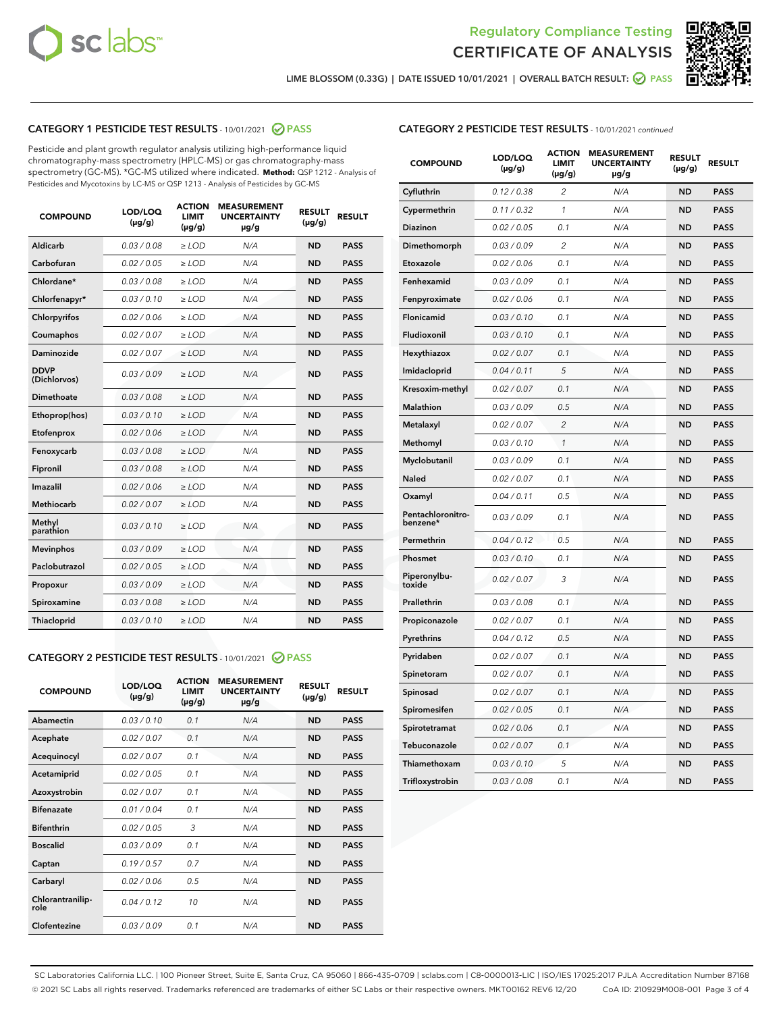



LIME BLOSSOM (0.33G) | DATE ISSUED 10/01/2021 | OVERALL BATCH RESULT: @ PASS

# CATEGORY 1 PESTICIDE TEST RESULTS - 10/01/2021 2 PASS

Pesticide and plant growth regulator analysis utilizing high-performance liquid chromatography-mass spectrometry (HPLC-MS) or gas chromatography-mass spectrometry (GC-MS). \*GC-MS utilized where indicated. **Method:** QSP 1212 - Analysis of Pesticides and Mycotoxins by LC-MS or QSP 1213 - Analysis of Pesticides by GC-MS

| <b>Aldicarb</b><br>0.03 / 0.08<br><b>ND</b><br>$\ge$ LOD<br>N/A<br><b>PASS</b><br>Carbofuran<br>0.02/0.05<br>$\ge$ LOD<br>N/A<br><b>ND</b><br><b>PASS</b><br>Chlordane*<br>0.03 / 0.08<br><b>ND</b><br>$>$ LOD<br>N/A<br><b>PASS</b><br>0.03/0.10<br><b>ND</b><br><b>PASS</b><br>Chlorfenapyr*<br>$\ge$ LOD<br>N/A<br>0.02 / 0.06<br>N/A<br><b>ND</b><br><b>PASS</b><br>Chlorpyrifos<br>$\ge$ LOD<br>0.02 / 0.07<br>N/A<br><b>ND</b><br><b>PASS</b><br>Coumaphos<br>$>$ LOD<br>Daminozide<br>0.02 / 0.07<br>$\ge$ LOD<br>N/A<br><b>ND</b><br><b>PASS</b><br><b>DDVP</b><br>0.03/0.09<br>$\ge$ LOD<br>N/A<br><b>ND</b><br><b>PASS</b><br>(Dichlorvos)<br>Dimethoate<br><b>ND</b><br><b>PASS</b><br>0.03 / 0.08<br>$>$ LOD<br>N/A<br>0.03/0.10<br>Ethoprop(hos)<br>$\ge$ LOD<br>N/A<br><b>ND</b><br><b>PASS</b><br>0.02/0.06<br>$\ge$ LOD<br>N/A<br><b>ND</b><br><b>PASS</b><br>Etofenprox<br>Fenoxycarb<br>0.03 / 0.08<br>$>$ LOD<br>N/A<br><b>ND</b><br><b>PASS</b><br>0.03 / 0.08<br><b>ND</b><br><b>PASS</b><br>Fipronil<br>$\ge$ LOD<br>N/A<br>Imazalil<br>0.02 / 0.06<br>$>$ LOD<br>N/A<br><b>ND</b><br><b>PASS</b><br>0.02 / 0.07<br>Methiocarb<br>N/A<br><b>ND</b><br>$>$ LOD<br><b>PASS</b><br>Methyl<br>0.03/0.10<br>$\ge$ LOD<br>N/A<br><b>ND</b><br><b>PASS</b><br>parathion<br>0.03/0.09<br>$\ge$ LOD<br>N/A<br><b>ND</b><br><b>PASS</b><br><b>Mevinphos</b><br>Paclobutrazol<br>0.02 / 0.05<br>$\ge$ LOD<br>N/A<br><b>ND</b><br><b>PASS</b><br>0.03/0.09<br>N/A<br>$\ge$ LOD<br><b>ND</b><br><b>PASS</b><br>Propoxur<br>0.03 / 0.08<br><b>ND</b><br><b>PASS</b><br>Spiroxamine<br>$\ge$ LOD<br>N/A<br><b>PASS</b><br>Thiacloprid<br>0.03/0.10<br>$\ge$ LOD<br>N/A<br><b>ND</b> | <b>COMPOUND</b> | LOD/LOQ<br>$(\mu g/g)$ | <b>ACTION</b><br>LIMIT<br>$(\mu g/g)$ | <b>MEASUREMENT</b><br><b>UNCERTAINTY</b><br>$\mu$ g/g | <b>RESULT</b><br>$(\mu g/g)$ | <b>RESULT</b> |
|--------------------------------------------------------------------------------------------------------------------------------------------------------------------------------------------------------------------------------------------------------------------------------------------------------------------------------------------------------------------------------------------------------------------------------------------------------------------------------------------------------------------------------------------------------------------------------------------------------------------------------------------------------------------------------------------------------------------------------------------------------------------------------------------------------------------------------------------------------------------------------------------------------------------------------------------------------------------------------------------------------------------------------------------------------------------------------------------------------------------------------------------------------------------------------------------------------------------------------------------------------------------------------------------------------------------------------------------------------------------------------------------------------------------------------------------------------------------------------------------------------------------------------------------------------------------------------------------------------------------------------------------------------------------------------------------|-----------------|------------------------|---------------------------------------|-------------------------------------------------------|------------------------------|---------------|
|                                                                                                                                                                                                                                                                                                                                                                                                                                                                                                                                                                                                                                                                                                                                                                                                                                                                                                                                                                                                                                                                                                                                                                                                                                                                                                                                                                                                                                                                                                                                                                                                                                                                                            |                 |                        |                                       |                                                       |                              |               |
|                                                                                                                                                                                                                                                                                                                                                                                                                                                                                                                                                                                                                                                                                                                                                                                                                                                                                                                                                                                                                                                                                                                                                                                                                                                                                                                                                                                                                                                                                                                                                                                                                                                                                            |                 |                        |                                       |                                                       |                              |               |
|                                                                                                                                                                                                                                                                                                                                                                                                                                                                                                                                                                                                                                                                                                                                                                                                                                                                                                                                                                                                                                                                                                                                                                                                                                                                                                                                                                                                                                                                                                                                                                                                                                                                                            |                 |                        |                                       |                                                       |                              |               |
|                                                                                                                                                                                                                                                                                                                                                                                                                                                                                                                                                                                                                                                                                                                                                                                                                                                                                                                                                                                                                                                                                                                                                                                                                                                                                                                                                                                                                                                                                                                                                                                                                                                                                            |                 |                        |                                       |                                                       |                              |               |
|                                                                                                                                                                                                                                                                                                                                                                                                                                                                                                                                                                                                                                                                                                                                                                                                                                                                                                                                                                                                                                                                                                                                                                                                                                                                                                                                                                                                                                                                                                                                                                                                                                                                                            |                 |                        |                                       |                                                       |                              |               |
|                                                                                                                                                                                                                                                                                                                                                                                                                                                                                                                                                                                                                                                                                                                                                                                                                                                                                                                                                                                                                                                                                                                                                                                                                                                                                                                                                                                                                                                                                                                                                                                                                                                                                            |                 |                        |                                       |                                                       |                              |               |
|                                                                                                                                                                                                                                                                                                                                                                                                                                                                                                                                                                                                                                                                                                                                                                                                                                                                                                                                                                                                                                                                                                                                                                                                                                                                                                                                                                                                                                                                                                                                                                                                                                                                                            |                 |                        |                                       |                                                       |                              |               |
|                                                                                                                                                                                                                                                                                                                                                                                                                                                                                                                                                                                                                                                                                                                                                                                                                                                                                                                                                                                                                                                                                                                                                                                                                                                                                                                                                                                                                                                                                                                                                                                                                                                                                            |                 |                        |                                       |                                                       |                              |               |
|                                                                                                                                                                                                                                                                                                                                                                                                                                                                                                                                                                                                                                                                                                                                                                                                                                                                                                                                                                                                                                                                                                                                                                                                                                                                                                                                                                                                                                                                                                                                                                                                                                                                                            |                 |                        |                                       |                                                       |                              |               |
|                                                                                                                                                                                                                                                                                                                                                                                                                                                                                                                                                                                                                                                                                                                                                                                                                                                                                                                                                                                                                                                                                                                                                                                                                                                                                                                                                                                                                                                                                                                                                                                                                                                                                            |                 |                        |                                       |                                                       |                              |               |
|                                                                                                                                                                                                                                                                                                                                                                                                                                                                                                                                                                                                                                                                                                                                                                                                                                                                                                                                                                                                                                                                                                                                                                                                                                                                                                                                                                                                                                                                                                                                                                                                                                                                                            |                 |                        |                                       |                                                       |                              |               |
|                                                                                                                                                                                                                                                                                                                                                                                                                                                                                                                                                                                                                                                                                                                                                                                                                                                                                                                                                                                                                                                                                                                                                                                                                                                                                                                                                                                                                                                                                                                                                                                                                                                                                            |                 |                        |                                       |                                                       |                              |               |
|                                                                                                                                                                                                                                                                                                                                                                                                                                                                                                                                                                                                                                                                                                                                                                                                                                                                                                                                                                                                                                                                                                                                                                                                                                                                                                                                                                                                                                                                                                                                                                                                                                                                                            |                 |                        |                                       |                                                       |                              |               |
|                                                                                                                                                                                                                                                                                                                                                                                                                                                                                                                                                                                                                                                                                                                                                                                                                                                                                                                                                                                                                                                                                                                                                                                                                                                                                                                                                                                                                                                                                                                                                                                                                                                                                            |                 |                        |                                       |                                                       |                              |               |
|                                                                                                                                                                                                                                                                                                                                                                                                                                                                                                                                                                                                                                                                                                                                                                                                                                                                                                                                                                                                                                                                                                                                                                                                                                                                                                                                                                                                                                                                                                                                                                                                                                                                                            |                 |                        |                                       |                                                       |                              |               |
|                                                                                                                                                                                                                                                                                                                                                                                                                                                                                                                                                                                                                                                                                                                                                                                                                                                                                                                                                                                                                                                                                                                                                                                                                                                                                                                                                                                                                                                                                                                                                                                                                                                                                            |                 |                        |                                       |                                                       |                              |               |
|                                                                                                                                                                                                                                                                                                                                                                                                                                                                                                                                                                                                                                                                                                                                                                                                                                                                                                                                                                                                                                                                                                                                                                                                                                                                                                                                                                                                                                                                                                                                                                                                                                                                                            |                 |                        |                                       |                                                       |                              |               |
|                                                                                                                                                                                                                                                                                                                                                                                                                                                                                                                                                                                                                                                                                                                                                                                                                                                                                                                                                                                                                                                                                                                                                                                                                                                                                                                                                                                                                                                                                                                                                                                                                                                                                            |                 |                        |                                       |                                                       |                              |               |
|                                                                                                                                                                                                                                                                                                                                                                                                                                                                                                                                                                                                                                                                                                                                                                                                                                                                                                                                                                                                                                                                                                                                                                                                                                                                                                                                                                                                                                                                                                                                                                                                                                                                                            |                 |                        |                                       |                                                       |                              |               |
|                                                                                                                                                                                                                                                                                                                                                                                                                                                                                                                                                                                                                                                                                                                                                                                                                                                                                                                                                                                                                                                                                                                                                                                                                                                                                                                                                                                                                                                                                                                                                                                                                                                                                            |                 |                        |                                       |                                                       |                              |               |
|                                                                                                                                                                                                                                                                                                                                                                                                                                                                                                                                                                                                                                                                                                                                                                                                                                                                                                                                                                                                                                                                                                                                                                                                                                                                                                                                                                                                                                                                                                                                                                                                                                                                                            |                 |                        |                                       |                                                       |                              |               |

#### CATEGORY 2 PESTICIDE TEST RESULTS - 10/01/2021 @ PASS

| <b>COMPOUND</b>          | LOD/LOO<br>$(\mu g/g)$ | <b>ACTION</b><br>LIMIT<br>$(\mu g/g)$ | <b>MEASUREMENT</b><br><b>UNCERTAINTY</b><br>µg/g | <b>RESULT</b><br>$(\mu g/g)$ | <b>RESULT</b> |
|--------------------------|------------------------|---------------------------------------|--------------------------------------------------|------------------------------|---------------|
| Abamectin                | 0.03/0.10              | 0.1                                   | N/A                                              | <b>ND</b>                    | <b>PASS</b>   |
| Acephate                 | 0.02/0.07              | 0.1                                   | N/A                                              | <b>ND</b>                    | <b>PASS</b>   |
| Acequinocyl              | 0.02/0.07              | 0.1                                   | N/A                                              | <b>ND</b>                    | <b>PASS</b>   |
| Acetamiprid              | 0.02/0.05              | 0.1                                   | N/A                                              | <b>ND</b>                    | <b>PASS</b>   |
| Azoxystrobin             | 0.02/0.07              | 0.1                                   | N/A                                              | <b>ND</b>                    | <b>PASS</b>   |
| <b>Bifenazate</b>        | 0.01 / 0.04            | 0.1                                   | N/A                                              | <b>ND</b>                    | <b>PASS</b>   |
| <b>Bifenthrin</b>        | 0.02 / 0.05            | 3                                     | N/A                                              | <b>ND</b>                    | <b>PASS</b>   |
| <b>Boscalid</b>          | 0.03/0.09              | 0.1                                   | N/A                                              | <b>ND</b>                    | <b>PASS</b>   |
| Captan                   | 0.19/0.57              | 0.7                                   | N/A                                              | <b>ND</b>                    | <b>PASS</b>   |
| Carbaryl                 | 0.02/0.06              | 0.5                                   | N/A                                              | <b>ND</b>                    | <b>PASS</b>   |
| Chlorantranilip-<br>role | 0.04/0.12              | 10                                    | N/A                                              | <b>ND</b>                    | <b>PASS</b>   |
| Clofentezine             | 0.03/0.09              | 0.1                                   | N/A                                              | <b>ND</b>                    | <b>PASS</b>   |

# CATEGORY 2 PESTICIDE TEST RESULTS - 10/01/2021 continued

| <b>COMPOUND</b>               | LOD/LOQ<br>(µg/g) | <b>ACTION</b><br>LIMIT<br>$(\mu g/g)$ | <b>MEASUREMENT</b><br><b>UNCERTAINTY</b><br>µg/g | <b>RESULT</b><br>(µg/g) | <b>RESULT</b> |
|-------------------------------|-------------------|---------------------------------------|--------------------------------------------------|-------------------------|---------------|
| Cyfluthrin                    | 0.12 / 0.38       | $\overline{c}$                        | N/A                                              | ND                      | <b>PASS</b>   |
| Cypermethrin                  | 0.11 / 0.32       | $\mathcal{I}$                         | N/A                                              | ND                      | <b>PASS</b>   |
| <b>Diazinon</b>               | 0.02 / 0.05       | 0.1                                   | N/A                                              | <b>ND</b>               | <b>PASS</b>   |
| Dimethomorph                  | 0.03 / 0.09       | 2                                     | N/A                                              | ND                      | <b>PASS</b>   |
| Etoxazole                     | 0.02 / 0.06       | 0.1                                   | N/A                                              | ND                      | <b>PASS</b>   |
| Fenhexamid                    | 0.03 / 0.09       | 0.1                                   | N/A                                              | <b>ND</b>               | <b>PASS</b>   |
| Fenpyroximate                 | 0.02 / 0.06       | 0.1                                   | N/A                                              | <b>ND</b>               | <b>PASS</b>   |
| Flonicamid                    | 0.03 / 0.10       | 0.1                                   | N/A                                              | ND                      | <b>PASS</b>   |
| Fludioxonil                   | 0.03 / 0.10       | 0.1                                   | N/A                                              | ND                      | <b>PASS</b>   |
| Hexythiazox                   | 0.02 / 0.07       | 0.1                                   | N/A                                              | ND                      | <b>PASS</b>   |
| Imidacloprid                  | 0.04 / 0.11       | 5                                     | N/A                                              | ND                      | <b>PASS</b>   |
| Kresoxim-methyl               | 0.02 / 0.07       | 0.1                                   | N/A                                              | ND                      | <b>PASS</b>   |
| <b>Malathion</b>              | 0.03 / 0.09       | 0.5                                   | N/A                                              | <b>ND</b>               | <b>PASS</b>   |
| Metalaxyl                     | 0.02 / 0.07       | $\overline{c}$                        | N/A                                              | ND                      | <b>PASS</b>   |
| Methomyl                      | 0.03 / 0.10       | 1                                     | N/A                                              | <b>ND</b>               | <b>PASS</b>   |
| Myclobutanil                  | 0.03 / 0.09       | 0.1                                   | N/A                                              | ND                      | <b>PASS</b>   |
| Naled                         | 0.02 / 0.07       | 0.1                                   | N/A                                              | ND                      | <b>PASS</b>   |
| Oxamyl                        | 0.04 / 0.11       | 0.5                                   | N/A                                              | ND                      | <b>PASS</b>   |
| Pentachloronitro-<br>benzene* | 0.03 / 0.09       | 0.1                                   | N/A                                              | ND                      | <b>PASS</b>   |
| Permethrin                    | 0.04 / 0.12       | 0.5                                   | N/A                                              | ND                      | <b>PASS</b>   |
| Phosmet                       | 0.03 / 0.10       | 0.1                                   | N/A                                              | ND                      | <b>PASS</b>   |
| Piperonylbu-<br>toxide        | 0.02 / 0.07       | 3                                     | N/A                                              | <b>ND</b>               | <b>PASS</b>   |
| Prallethrin                   | 0.03 / 0.08       | 0.1                                   | N/A                                              | ND                      | <b>PASS</b>   |
| Propiconazole                 | 0.02 / 0.07       | 0.1                                   | N/A                                              | ND                      | <b>PASS</b>   |
| Pyrethrins                    | 0.04 / 0.12       | 0.5                                   | N/A                                              | ND                      | <b>PASS</b>   |
| Pyridaben                     | 0.02 / 0.07       | 0.1                                   | N/A                                              | ND                      | <b>PASS</b>   |
| Spinetoram                    | 0.02 / 0.07       | 0.1                                   | N/A                                              | ND                      | <b>PASS</b>   |
| Spinosad                      | 0.02 / 0.07       | 0.1                                   | N/A                                              | ND                      | <b>PASS</b>   |
| Spiromesifen                  | 0.02 / 0.05       | 0.1                                   | N/A                                              | <b>ND</b>               | <b>PASS</b>   |
| Spirotetramat                 | 0.02 / 0.06       | 0.1                                   | N/A                                              | ND                      | <b>PASS</b>   |
| Tebuconazole                  | 0.02 / 0.07       | 0.1                                   | N/A                                              | ND                      | PASS          |
| Thiamethoxam                  | 0.03 / 0.10       | 5                                     | N/A                                              | ND                      | <b>PASS</b>   |
| Trifloxystrobin               | 0.03 / 0.08       | 0.1                                   | N/A                                              | <b>ND</b>               | <b>PASS</b>   |

SC Laboratories California LLC. | 100 Pioneer Street, Suite E, Santa Cruz, CA 95060 | 866-435-0709 | sclabs.com | C8-0000013-LIC | ISO/IES 17025:2017 PJLA Accreditation Number 87168 © 2021 SC Labs all rights reserved. Trademarks referenced are trademarks of either SC Labs or their respective owners. MKT00162 REV6 12/20 CoA ID: 210929M008-001 Page 3 of 4